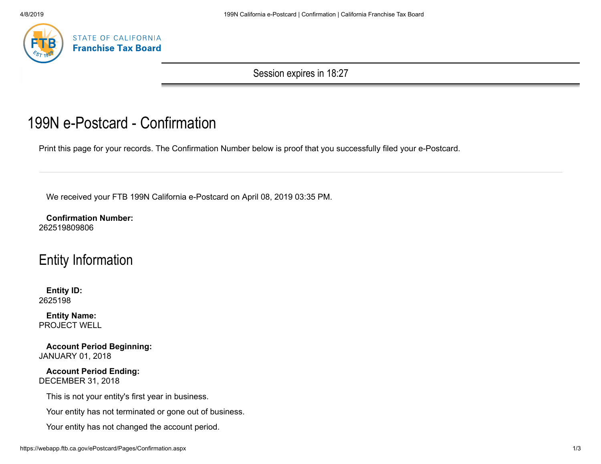

Session expires in 18:27

# 199N e-Postcard - Confirmation

Print this page for your records. The Confirmation Number below is proof that you successfully filed your e-Postcard.

We received your FTB 199N California e-Postcard on April 08, 2019 03:35 PM.

**Confirmation Number:** 262519809806

## Entity Information

**Entity ID:** 2625198

**Entity Name:** PROJECT WELL

**Account Period Beginning:** JANUARY 01, 2018

**Account Period Ending:** DECEMBER 31, 2018

This is not your entity's first year in business.

Your entity has not terminated or gone out of business.

Your entity has not changed the account period.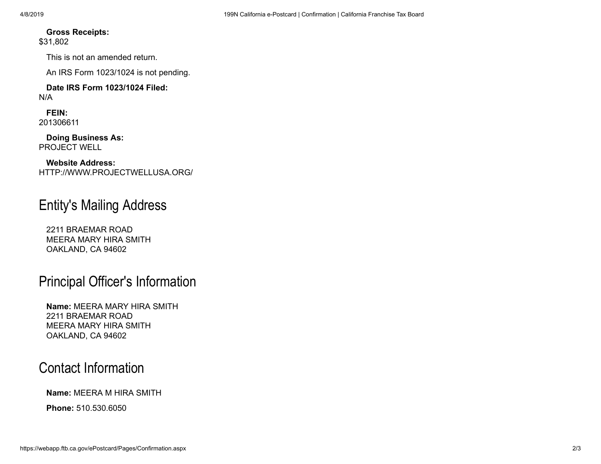#### **Gross Receipts:**

\$31,802

This is not an amended return.

An IRS Form 1023/1024 is not pending.

#### **Date IRS Form 1023/1024 Filed:** N/A

**FEIN:** 201306611

**Doing Business As:** PROJECT WELL

**Website Address:** HTTP://WWW.PROJECTWELLUSA.ORG/

### Entity's Mailing Address

2211 BRAEMAR ROAD MEERA MARY HIRA SMITH OAKLAND, CA 94602

### Principal Officer's Information

**Name:** MEERA MARY HIRA SMITH 2211 BRAEMAR ROAD MEERA MARY HIRA SMITH OAKLAND, CA 94602

### Contact Information

#### **Name:** MEERA M HIRA SMITH

**Phone:** 510.530.6050